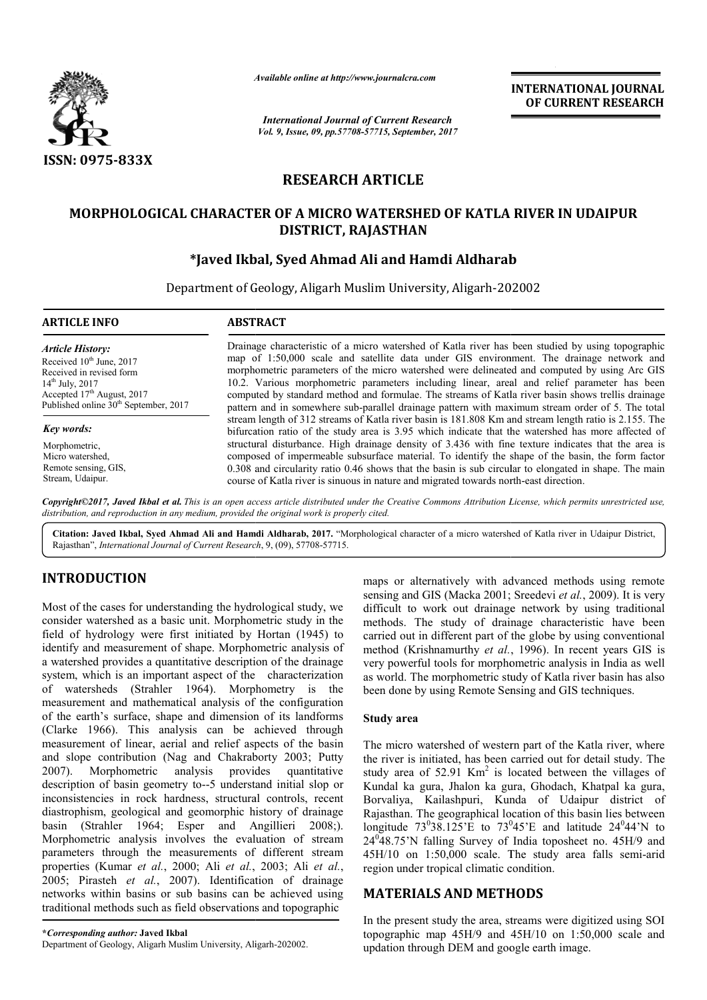

 $\overline{\phantom{a}}$ 

*Available online at http://www.journalcra.com*

# **RESEARCH ARTICLE**

# **MORPHOLOGICAL CHARACTER OF A MICRO WATERSHED OF KATLA RIVER IN UDAIPUR UDAIPUR DISTRICT, RAJASTHAN**

# **\*Javed Ikbal, Syed Ahmad Ali Javed and Hamdi Aldharab**

|                                                                                                                                                                                                                                    |                                                                                                                                                                                                                                                                                                                                                                                                                                                                                                                                                                                                                                                                             | лүшише опине иг пир.//www.journatera.com<br><b>International Journal of Current Research</b> |                                                                                                                                                                                                                                                                                                                                                                                                                                                                                                                                                                                                                                                                                                                                                                                                                      |  |
|------------------------------------------------------------------------------------------------------------------------------------------------------------------------------------------------------------------------------------|-----------------------------------------------------------------------------------------------------------------------------------------------------------------------------------------------------------------------------------------------------------------------------------------------------------------------------------------------------------------------------------------------------------------------------------------------------------------------------------------------------------------------------------------------------------------------------------------------------------------------------------------------------------------------------|----------------------------------------------------------------------------------------------|----------------------------------------------------------------------------------------------------------------------------------------------------------------------------------------------------------------------------------------------------------------------------------------------------------------------------------------------------------------------------------------------------------------------------------------------------------------------------------------------------------------------------------------------------------------------------------------------------------------------------------------------------------------------------------------------------------------------------------------------------------------------------------------------------------------------|--|
|                                                                                                                                                                                                                                    |                                                                                                                                                                                                                                                                                                                                                                                                                                                                                                                                                                                                                                                                             | Vol. 9, Issue, 09, pp.57708-57715, September, 2017                                           |                                                                                                                                                                                                                                                                                                                                                                                                                                                                                                                                                                                                                                                                                                                                                                                                                      |  |
| <b>ISSN: 0975-833X</b>                                                                                                                                                                                                             |                                                                                                                                                                                                                                                                                                                                                                                                                                                                                                                                                                                                                                                                             |                                                                                              |                                                                                                                                                                                                                                                                                                                                                                                                                                                                                                                                                                                                                                                                                                                                                                                                                      |  |
|                                                                                                                                                                                                                                    | <b>RESEARCH ARTICLE</b>                                                                                                                                                                                                                                                                                                                                                                                                                                                                                                                                                                                                                                                     |                                                                                              |                                                                                                                                                                                                                                                                                                                                                                                                                                                                                                                                                                                                                                                                                                                                                                                                                      |  |
|                                                                                                                                                                                                                                    | <b>MORPHOLOGICAL CHARACTER OF A MICRO WATERSHED OF KATLA RIVER IN UDAIPUR</b><br><b>DISTRICT, RAJASTHAN</b>                                                                                                                                                                                                                                                                                                                                                                                                                                                                                                                                                                 |                                                                                              |                                                                                                                                                                                                                                                                                                                                                                                                                                                                                                                                                                                                                                                                                                                                                                                                                      |  |
|                                                                                                                                                                                                                                    | *Javed Ikbal, Syed Ahmad Ali and Hamdi Aldharab                                                                                                                                                                                                                                                                                                                                                                                                                                                                                                                                                                                                                             |                                                                                              |                                                                                                                                                                                                                                                                                                                                                                                                                                                                                                                                                                                                                                                                                                                                                                                                                      |  |
|                                                                                                                                                                                                                                    | Department of Geology, Aligarh Muslim University, Aligarh-202002                                                                                                                                                                                                                                                                                                                                                                                                                                                                                                                                                                                                            |                                                                                              |                                                                                                                                                                                                                                                                                                                                                                                                                                                                                                                                                                                                                                                                                                                                                                                                                      |  |
| <b>ARTICLE INFO</b>                                                                                                                                                                                                                | <b>ABSTRACT</b>                                                                                                                                                                                                                                                                                                                                                                                                                                                                                                                                                                                                                                                             |                                                                                              |                                                                                                                                                                                                                                                                                                                                                                                                                                                                                                                                                                                                                                                                                                                                                                                                                      |  |
| <b>Article History:</b><br>Received 10 <sup>th</sup> June, 2017<br>Received in revised form<br>14 <sup>th</sup> July, 2017<br>Accepted 17th August, 2017<br>Published online 30 <sup>th</sup> September, 2017<br><b>Key words:</b> |                                                                                                                                                                                                                                                                                                                                                                                                                                                                                                                                                                                                                                                                             |                                                                                              | Drainage characteristic of a micro watershed of Katla river has been studied by using topographic<br>map of 1:50,000 scale and satellite data under GIS environment. The drainage network and<br>morphometric parameters of the micro watershed were delineated and computed by using Arc GIS<br>10.2. Various morphometric parameters including linear, areal and relief parameter has been<br>computed by standard method and formulae. The streams of Katla river basin shows trellis drainage<br>pattern and in somewhere sub-parallel drainage pattern with maximum stream order of 5. The total<br>stream length of 312 streams of Katla river basin is 181.808 Km and stream length ratio is 2.155. The<br>bifurcation ratio of the study area is 3.95 which indicate that the watershed has more affected of |  |
| Morphometric,<br>Micro watershed,<br>Remote sensing, GIS,<br>Stream, Udaipur.                                                                                                                                                      |                                                                                                                                                                                                                                                                                                                                                                                                                                                                                                                                                                                                                                                                             | course of Katla river is sinuous in nature and migrated towards north-east direction.        | structural disturbance. High drainage density of 3.436 with fine texture indicates that the area is<br>composed of impermeable subsurface material. To identify the shape of the basin, the form factor<br>0.308 and circularity ratio 0.46 shows that the basin is sub circular to elongated in shape. The main                                                                                                                                                                                                                                                                                                                                                                                                                                                                                                     |  |
|                                                                                                                                                                                                                                    | distribution, and reproduction in any medium, provided the original work is properly cited.                                                                                                                                                                                                                                                                                                                                                                                                                                                                                                                                                                                 |                                                                                              | Copyright©2017, Javed Ikbal et al. This is an open access article distributed under the Creative Commons Attribution License, which permits unrestricted use,                                                                                                                                                                                                                                                                                                                                                                                                                                                                                                                                                                                                                                                        |  |
|                                                                                                                                                                                                                                    | Citation: Javed Ikbal, Syed Ahmad Ali and Hamdi Aldharab, 2017. "Morphological character of a micro watershed of Katla river in Udaipur District,<br>Rajasthan", International Journal of Current Research, 9, (09), 57708-57715.                                                                                                                                                                                                                                                                                                                                                                                                                                           |                                                                                              |                                                                                                                                                                                                                                                                                                                                                                                                                                                                                                                                                                                                                                                                                                                                                                                                                      |  |
| <b>INTRODUCTION</b>                                                                                                                                                                                                                |                                                                                                                                                                                                                                                                                                                                                                                                                                                                                                                                                                                                                                                                             |                                                                                              | maps or alternatively with advanced methods using remote                                                                                                                                                                                                                                                                                                                                                                                                                                                                                                                                                                                                                                                                                                                                                             |  |
|                                                                                                                                                                                                                                    | Most of the cases for understanding the hydrological study, we<br>consider watershed as a basic unit. Morphometric study in the<br>field of hydrology were first initiated by Hortan (1945) to<br>identify and measurement of shape. Morphometric analysis of<br>a watershed provides a quantitative description of the drainage<br>system, which is an important aspect of the characterization<br>of watersheds (Strahler 1964). Morphometry is the<br>measurement and mathematical analysis of the configuration<br>of the earth's surface, shape and dimension of its landforms<br>(Clarke 1966). This analysis can be achieved through                                 | <b>Study area</b>                                                                            | sensing and GIS (Macka 2001; Sreedevi et al., 2009). It is very<br>difficult to work out drainage network by using traditional<br>methods. The study of drainage characteristic have been<br>carried out in different part of the globe by using conventional<br>method (Krishnamurthy et al., 1996). In recent years GIS is<br>very powerful tools for morphometric analysis in India as well<br>as world. The morphometric study of Katla river basin has also<br>been done by using Remote Sensing and GIS techniques.                                                                                                                                                                                                                                                                                            |  |
| Morphometric<br>2007).                                                                                                                                                                                                             | measurement of linear, aerial and relief aspects of the basin<br>and slope contribution (Nag and Chakraborty 2003; Putty<br>analysis<br>provides<br>quantitative<br>description of basin geometry to--5 understand initial slop or<br>inconsistencies in rock hardness, structural controls, recent<br>diastrophism, geological and geomorphic history of drainage<br>basin (Strahler 1964; Esper and Angillieri 2008;).<br>Morphometric analysis involves the evaluation of stream<br>parameters through the measurements of different stream<br>properties (Kumar et al., 2000; Ali et al., 2003; Ali et al.,<br>2005; Pirasteh et al., 2007). Identification of drainage | region under tropical climatic condition.                                                    | The micro watershed of western part of the Katla river, where<br>the river is initiated, has been carried out for detail study. The<br>study area of $52.91$ Km <sup>2</sup> is located between the villages of<br>Kundal ka gura, Jhalon ka gura, Ghodach, Khatpal ka gura,<br>Borvaliya, Kailashpuri, Kunda of Udaipur district of<br>Rajasthan. The geographical location of this basin lies between<br>longitude $73^038.125$ 'E to $73^045$ 'E and latitude $24^044$ 'N to<br>24 <sup>0</sup> 48.75'N falling Survey of India toposheet no. 45H/9 and<br>45H/10 on 1:50,000 scale. The study area falls semi-arid                                                                                                                                                                                               |  |
|                                                                                                                                                                                                                                    | networks within basins or sub basins can be achieved using<br>traditional methods such as field observations and topographic                                                                                                                                                                                                                                                                                                                                                                                                                                                                                                                                                | <b>MATERIALS AND METHODS</b>                                                                 |                                                                                                                                                                                                                                                                                                                                                                                                                                                                                                                                                                                                                                                                                                                                                                                                                      |  |
| *Corresponding author: Javed Ikbal<br>Department of Geology, Aligarh Muslim University, Aligarh-202002.                                                                                                                            |                                                                                                                                                                                                                                                                                                                                                                                                                                                                                                                                                                                                                                                                             | updation through DEM and google earth image.                                                 | In the present study the area, streams were digitized using SOI<br>topographic map 45H/9 and 45H/10 on 1:50,000 scale and                                                                                                                                                                                                                                                                                                                                                                                                                                                                                                                                                                                                                                                                                            |  |

# **INTRODUCTION**

## **Study area**

# **MATERIALS AND METHODS METHODS**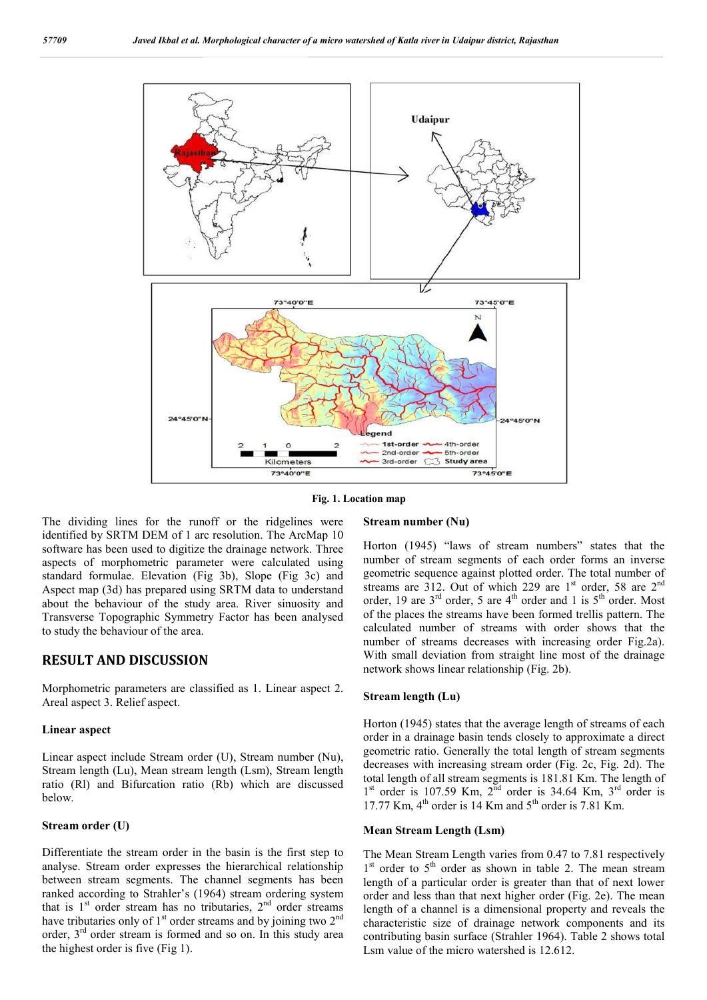

**Fig. 1. Location map**

The dividing lines for the runoff or the ridgelines were identified by SRTM DEM of 1 arc resolution. The ArcMap 10 software has been used to digitize the drainage network. Three aspects of morphometric parameter were calculated using standard formulae. Elevation (Fig 3b), Slope (Fig 3c) and Aspect map (3d) has prepared using SRTM data to understand about the behaviour of the study area. River sinuosity and Transverse Topographic Symmetry Factor has been analysed to study the behaviour of the area.

## **RESULT AND DISCUSSION**

Morphometric parameters are classified as 1. Linear aspect 2. Areal aspect 3. Relief aspect.

#### **Linear aspect**

Linear aspect include Stream order (U), Stream number (Nu), Stream length (Lu), Mean stream length (Lsm), Stream length ratio (Rl) and Bifurcation ratio (Rb) which are discussed below.

#### **Stream order (U)**

Differentiate the stream order in the basin is the first step to analyse. Stream order expresses the hierarchical relationship between stream segments. The channel segments has been ranked according to Strahler's (1964) stream ordering system that is  $1<sup>st</sup>$  order stream has no tributaries,  $2<sup>nd</sup>$  order streams have tributaries only of  $1<sup>st</sup>$  order streams and by joining two  $2<sup>nd</sup>$ order,  $3<sup>rd</sup>$  order stream is formed and so on. In this study area the highest order is five (Fig 1).

#### **Stream number (Nu)**

Horton (1945) "laws of stream numbers" states that the number of stream segments of each order forms an inverse geometric sequence against plotted order. The total number of streams are 312. Out of which 229 are  $1<sup>st</sup>$  order, 58 are  $2<sup>nd</sup>$ order, 19 are  $3<sup>rd</sup>$  order, 5 are  $4<sup>th</sup>$  order and 1 is  $5<sup>th</sup>$  order. Most of the places the streams have been formed trellis pattern. The calculated number of streams with order shows that the number of streams decreases with increasing order Fig.2a). With small deviation from straight line most of the drainage network shows linear relationship (Fig. 2b).

#### **Stream length (Lu)**

Horton (1945) states that the average length of streams of each order in a drainage basin tends closely to approximate a direct geometric ratio. Generally the total length of stream segments decreases with increasing stream order (Fig. 2c, Fig. 2d). The total length of all stream segments is 181.81 Km. The length of  $1<sup>st</sup>$  order is 107.59 Km,  $2<sup>nd</sup>$  order is 34.64 Km,  $3<sup>rd</sup>$  order is 17.77 Km,  $4^{th}$  order is 14 Km and  $5^{th}$  order is 7.81 Km.

#### **Mean Stream Length (Lsm)**

The Mean Stream Length varies from 0.47 to 7.81 respectively  $1<sup>st</sup>$  order to  $5<sup>th</sup>$  order as shown in table 2. The mean stream length of a particular order is greater than that of next lower order and less than that next higher order (Fig. 2e). The mean length of a channel is a dimensional property and reveals the characteristic size of drainage network components and its contributing basin surface (Strahler 1964). Table 2 shows total Lsm value of the micro watershed is 12.612.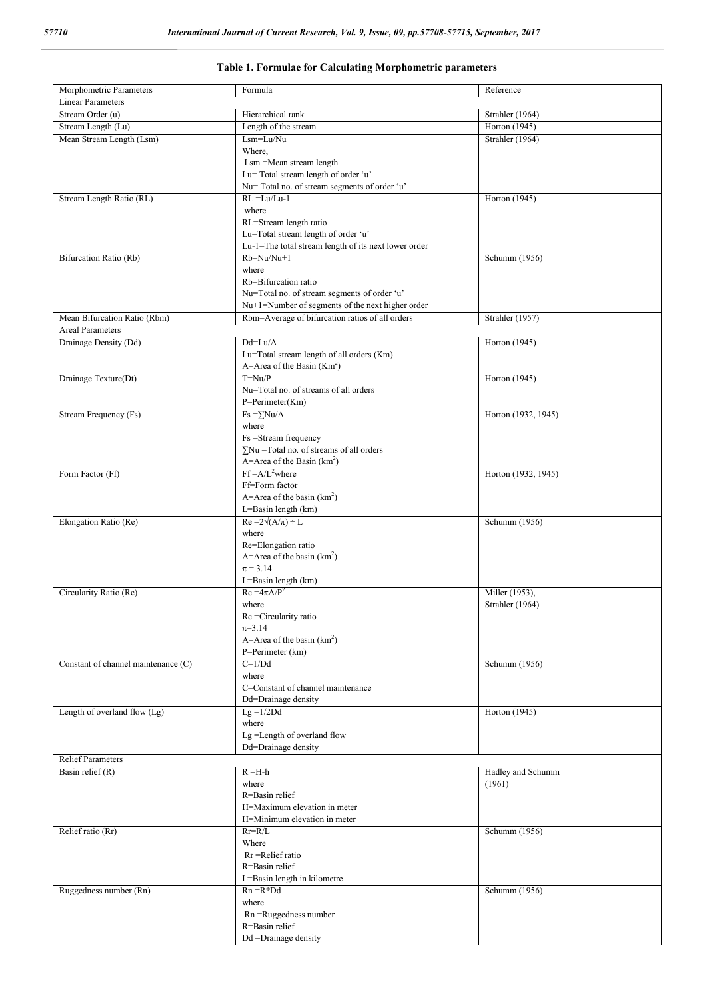| Morphometric Parameters             | Formula                                              |                     |
|-------------------------------------|------------------------------------------------------|---------------------|
|                                     |                                                      | Reference           |
| <b>Linear Parameters</b>            |                                                      |                     |
| Stream Order (u)                    | Hierarchical rank                                    | Strahler (1964)     |
| Stream Length (Lu)                  | Length of the stream                                 | Horton (1945)       |
| Mean Stream Length (Lsm)            | Lsm=Lu/Nu                                            | Strahler (1964)     |
|                                     | Where.                                               |                     |
|                                     | Lsm = Mean stream length                             |                     |
|                                     | Lu= Total stream length of order 'u'                 |                     |
|                                     |                                                      |                     |
|                                     | Nu= Total no. of stream segments of order 'u'        |                     |
| Stream Length Ratio (RL)            | $RL = Lu/Lu-1$                                       | Horton (1945)       |
|                                     | where                                                |                     |
|                                     | RL=Stream length ratio                               |                     |
|                                     | Lu=Total stream length of order 'u'                  |                     |
|                                     | Lu-1=The total stream length of its next lower order |                     |
| Bifurcation Ratio (Rb)              | $Rb=Nu/Nu+1$                                         | Schumm (1956)       |
|                                     | where                                                |                     |
|                                     | Rb=Bifurcation ratio                                 |                     |
|                                     |                                                      |                     |
|                                     | Nu=Total no. of stream segments of order 'u'         |                     |
|                                     | Nu+1=Number of segments of the next higher order     |                     |
| Mean Bifurcation Ratio (Rbm)        | Rbm=Average of bifurcation ratios of all orders      | Strahler (1957)     |
| <b>Areal Parameters</b>             |                                                      |                     |
| Drainage Density (Dd)               | $Dd=Lu/A$                                            | Horton (1945)       |
|                                     | Lu=Total stream length of all orders (Km)            |                     |
|                                     | A=Area of the Basin $(Km2)$                          |                     |
| Drainage Texture(Dt)                | $T=Nu/P$                                             | Horton (1945)       |
|                                     |                                                      |                     |
|                                     | Nu=Total no. of streams of all orders                |                     |
|                                     | P=Perimeter(Km)                                      |                     |
| Stream Frequency (Fs)               | $Fs = \sum Nu/A$                                     | Horton (1932, 1945) |
|                                     | where                                                |                     |
|                                     | Fs =Stream frequency                                 |                     |
|                                     | $\Sigma$ Nu = Total no. of streams of all orders     |                     |
|                                     | A=Area of the Basin $(km^2)$                         |                     |
| Form Factor (Ff)                    | $Ff = A/L^2$ where                                   | Horton (1932, 1945) |
|                                     | Ff=Form factor                                       |                     |
|                                     |                                                      |                     |
|                                     | A=Area of the basin $(km^2)$                         |                     |
|                                     | L=Basin length (km)                                  |                     |
| Elongation Ratio (Re)               | $Re = 2\sqrt{(A/\pi)} \div L$                        | Schumm (1956)       |
|                                     | where                                                |                     |
|                                     | Re=Elongation ratio                                  |                     |
|                                     | A=Area of the basin $(km^2)$                         |                     |
|                                     | $\pi = 3.14$                                         |                     |
|                                     | L=Basin length (km)                                  |                     |
|                                     | $Rc = 4\pi A/P^2$                                    |                     |
| Circularity Ratio (Rc)              |                                                      | Miller (1953),      |
|                                     | where                                                | Strahler (1964)     |
|                                     | Rc = Circularity ratio                               |                     |
|                                     | $\pi = 3.14$                                         |                     |
|                                     | A=Area of the basin $(km^2)$                         |                     |
|                                     | P=Perimeter (km)                                     |                     |
| Constant of channel maintenance (C) | $C=1/Dd$                                             | Schumm (1956)       |
|                                     | where                                                |                     |
|                                     | C=Constant of channel maintenance                    |                     |
|                                     | Dd=Drainage density                                  |                     |
|                                     |                                                      |                     |
| Length of overland flow (Lg)        | $Lg = 1/2Dd$                                         | Horton (1945)       |
|                                     | where                                                |                     |
|                                     | Lg =Length of overland flow                          |                     |
|                                     | Dd=Drainage density                                  |                     |
| <b>Relief Parameters</b>            |                                                      |                     |
| Basin relief $(R)$                  | $R = H-h$                                            | Hadley and Schumm   |
|                                     | where                                                | (1961)              |
|                                     | R=Basin relief                                       |                     |
|                                     | H=Maximum elevation in meter                         |                     |
|                                     |                                                      |                     |
|                                     | H=Minimum elevation in meter                         |                     |
| Relief ratio (Rr)                   | $Rr=R/L$                                             | Schumm (1956)       |
|                                     | Where                                                |                     |
|                                     | Rr = Relief ratio                                    |                     |
|                                     | R=Basin relief                                       |                     |
|                                     | L=Basin length in kilometre                          |                     |
| Ruggedness number (Rn)              | $Rn = R^*Dd$                                         | Schumm (1956)       |
|                                     | where                                                |                     |
|                                     |                                                      |                     |
|                                     | Rn =Ruggedness number                                |                     |
|                                     | R=Basin relief                                       |                     |
|                                     | Dd =Drainage density                                 |                     |

## **Table 1. Formulae for Calculating Morphometric parameters**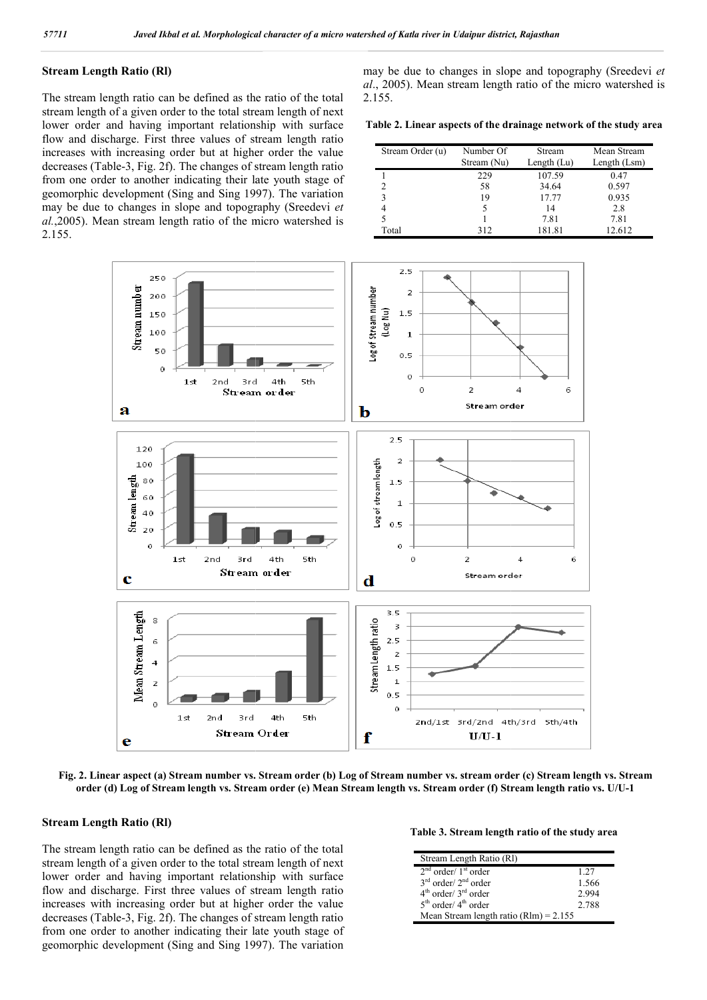## **Stream Length Ratio (Rl)**

The stream length ratio can be defined as the ratio of the total stream length of a given order to the total stream length of next lower order and having important relationship with surface flow and discharge. First three values of stream length ratio increases with increasing order but at higher order the value flow and discharge. First three values of stream length ratio increases with increasing order but at higher order the value decreases (Table-3, Fig. 2f). The changes of stream length ratio from one order to another indicating their late youth stage of geomorphic development (Sing and Sing 1997). The variation may be due to changes in slope and topography (Sreedevi *et al.*,2005). Mean stream length ratio of the micro watershed is 2.155.

*al.*, 2005). Mean stream length ratio of the micro watershed is 2.155.<br>Table 2. Linear aspects of the drainage network of the study area<br>Stream Order (u) Number Of Stream Mean Stream 2.155. may be due to changes in slope and topography (Sreedevi et

**Table 2. Linear aspects of the drainage network of the study area**

| Stream Order (u) | Number Of<br>Stream (Nu) | Stream<br>Length $(Lu)$ | Mean Stream<br>Length (Lsm) |  |
|------------------|--------------------------|-------------------------|-----------------------------|--|
|                  | 229                      | 107.59                  | 0.47                        |  |
|                  | 58                       | 34.64                   | 0.597                       |  |
|                  | 19                       | 17.77                   | 0.935                       |  |
|                  | 5                        | 14                      | 2.8                         |  |
|                  |                          | 7.81                    | 7.81                        |  |
| Total            | 312                      | 181.81                  | 12.612                      |  |



Fig. 2. Linear aspect (a) Stream number vs. Stream order (b) Log of Stream number vs. stream order (c) Stream length vs. Stream order (d) Log of Stream length vs. Stream order (e) Mean Stream length vs. Stream order (f) Stream length ratio vs. U/U-1

#### **Stream Length Ratio (Rl)**

The stream length ratio can be defined as the ratio of the total stream length of a given order to the total stream length of next lower order and having important relationship with surface flow and discharge. First three values of stream length ratio increases with increasing order but at higher order the value decreases (Table-3, Fig. 2f). The changes of stream length ratio from one order to another indicating their late youth stage of geomorphic development (Sing and Sing 1997). The variation

|  |  | Table 3. Stream length ratio of the study area |  |  |  |
|--|--|------------------------------------------------|--|--|--|
|  |  |                                                |  |  |  |

| Stream Length Ratio (RI)                   |       |
|--------------------------------------------|-------|
| $2nd order/1st order$                      | 1 2.7 |
| $3rd$ order/ $2nd$ order                   | 1.566 |
| $4th$ order/ $3rd$ order                   | 2.994 |
| $5th$ order/ $4th$ order                   | 2.788 |
| Mean Stream length ratio ( $RIm$ ) = 2.155 |       |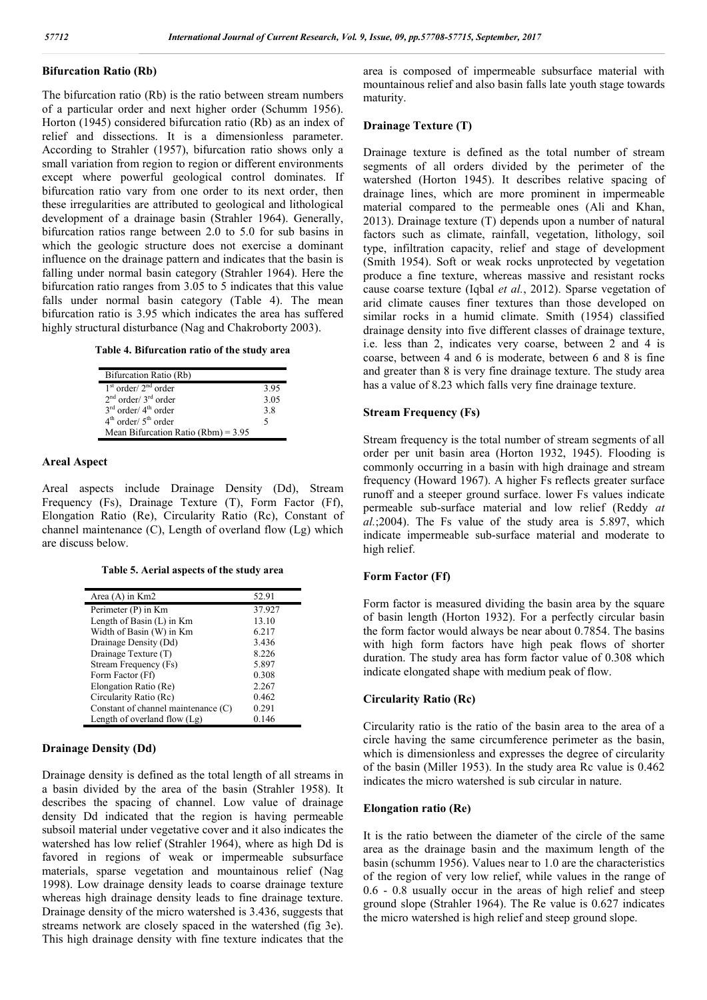## **Bifurcation Ratio (Rb)**

The bifurcation ratio (Rb) is the ratio between stream numbers of a particular order and next higher order (Schumm 1956). Horton (1945) considered bifurcation ratio (Rb) as an index of relief and dissections. It is a dimensionless parameter. According to Strahler (1957), bifurcation ratio shows only a small variation from region to region or different environments except where powerful geological control dominates. If bifurcation ratio vary from one order to its next order, then these irregularities are attributed to geological and lithological development of a drainage basin (Strahler 1964). Generally, bifurcation ratios range between 2.0 to 5.0 for sub basins in which the geologic structure does not exercise a dominant influence on the drainage pattern and indicates that the basin is falling under normal basin category (Strahler 1964). Here the bifurcation ratio ranges from 3.05 to 5 indicates that this value falls under normal basin category (Table 4). The mean bifurcation ratio is 3.95 which indicates the area has suffered highly structural disturbance (Nag and Chakroborty 2003).

#### **Table 4. Bifurcation ratio of the study area**

| Bifurcation Ratio (Rb)                |      |
|---------------------------------------|------|
| $1st order/2nd order$                 | 3.95 |
| $2nd order/3rd order$                 | 3.05 |
| $3rd$ order/ $4th$ order              | 3.8  |
| $4th$ order/ $5th$ order              | 5    |
| Mean Bifurcation Ratio (Rbm) = $3.95$ |      |

#### **Areal Aspect**

Areal aspects include Drainage Density (Dd), Stream Frequency (Fs), Drainage Texture (T), Form Factor (Ff), Elongation Ratio (Re), Circularity Ratio (Rc), Constant of channel maintenance (C), Length of overland flow (Lg) which are discuss below.

**Table 5. Aerial aspects of the study area**

| Area $(A)$ in $Km2$                 | 52.91  |
|-------------------------------------|--------|
| Perimeter (P) in Km                 | 37.927 |
| Length of Basin (L) in Km           | 13.10  |
| Width of Basin (W) in Km            | 6.217  |
| Drainage Density (Dd)               | 3.436  |
| Drainage Texture (T)                | 8.226  |
| Stream Frequency (Fs)               | 5.897  |
| Form Factor (Ff)                    | 0.308  |
| Elongation Ratio (Re)               | 2.267  |
| Circularity Ratio (Rc)              | 0.462  |
| Constant of channel maintenance (C) | 0.291  |
| Length of overland flow $(Lg)$      | 0.146  |

#### **Drainage Density (Dd)**

Drainage density is defined as the total length of all streams in a basin divided by the area of the basin (Strahler 1958). It describes the spacing of channel. Low value of drainage density Dd indicated that the region is having permeable subsoil material under vegetative cover and it also indicates the watershed has low relief (Strahler 1964), where as high Dd is favored in regions of weak or impermeable subsurface materials, sparse vegetation and mountainous relief (Nag 1998). Low drainage density leads to coarse drainage texture whereas high drainage density leads to fine drainage texture. Drainage density of the micro watershed is 3.436, suggests that streams network are closely spaced in the watershed (fig 3e). This high drainage density with fine texture indicates that the area is composed of impermeable subsurface material with mountainous relief and also basin falls late youth stage towards maturity.

#### **Drainage Texture (T)**

Drainage texture is defined as the total number of stream segments of all orders divided by the perimeter of the watershed (Horton 1945). It describes relative spacing of drainage lines, which are more prominent in impermeable material compared to the permeable ones (Ali and Khan, 2013). Drainage texture (T) depends upon a number of natural factors such as climate, rainfall, vegetation, lithology, soil type, infiltration capacity, relief and stage of development (Smith 1954). Soft or weak rocks unprotected by vegetation produce a fine texture, whereas massive and resistant rocks cause coarse texture (Iqbal *et al.*, 2012). Sparse vegetation of arid climate causes finer textures than those developed on similar rocks in a humid climate. Smith (1954) classified drainage density into five different classes of drainage texture, i.e. less than 2, indicates very coarse, between 2 and 4 is coarse, between 4 and 6 is moderate, between 6 and 8 is fine and greater than 8 is very fine drainage texture. The study area has a value of 8.23 which falls very fine drainage texture.

#### **Stream Frequency (Fs)**

Stream frequency is the total number of stream segments of all order per unit basin area (Horton 1932, 1945). Flooding is commonly occurring in a basin with high drainage and stream frequency (Howard 1967). A higher Fs reflects greater surface runoff and a steeper ground surface. lower Fs values indicate permeable sub-surface material and low relief (Reddy *at al.*;2004). The Fs value of the study area is 5.897, which indicate impermeable sub-surface material and moderate to high relief.

#### **Form Factor (Ff)**

Form factor is measured dividing the basin area by the square of basin length (Horton 1932). For a perfectly circular basin the form factor would always be near about 0.7854. The basins with high form factors have high peak flows of shorter duration. The study area has form factor value of 0.308 which indicate elongated shape with medium peak of flow.

#### **Circularity Ratio (Rc)**

Circularity ratio is the ratio of the basin area to the area of a circle having the same circumference perimeter as the basin, which is dimensionless and expresses the degree of circularity of the basin (Miller 1953). In the study area Rc value is 0.462 indicates the micro watershed is sub circular in nature.

#### **Elongation ratio (Re)**

It is the ratio between the diameter of the circle of the same area as the drainage basin and the maximum length of the basin (schumm 1956). Values near to 1.0 are the characteristics of the region of very low relief, while values in the range of 0.6 - 0.8 usually occur in the areas of high relief and steep ground slope (Strahler 1964). The Re value is 0.627 indicates the micro watershed is high relief and steep ground slope.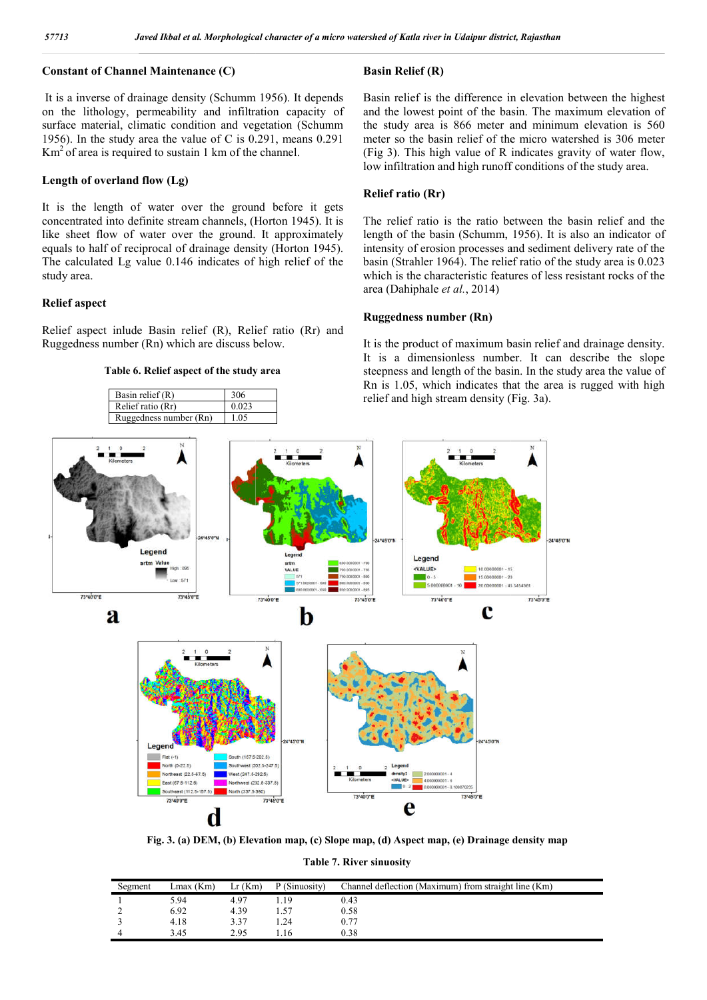## **Constant of Channel Maintenance (C)**

It is a inverse of drainage density (Schumm 1956). It depends on the lithology, permeability and infiltration capacity of surface material, climatic condition and vegetation ( (Schumm 1956). In the study area the value of C is 0.291, means 0.291  $Km<sup>2</sup>$  of area is required to sustain 1 km of the channel. **Basin Relief (R)**<br> **Basin Relief (R)**<br>
of drainage density (Schumm 1956). It depends<br>
Basin relief is the<br>
y, permeability and infiltration capacity of and the lowest po<br>
l, climatic condition and vegetation (Schumm the s

#### **Length of overland flow (Lg)**

It is the length of water over the ground before it gets concentrated into definite stream channels, (Horton 1945). It is like sheet flow of water over the ground. It approximately equals to half of reciprocal of drainage density (Horton 1945). The calculated Lg value 0.146 indicates of high relief of the study area.

#### **Relief aspect**

Relief aspect inlude Basin relief (R), Relief ratio (Rr) and Ruggedness number (Rn) which are discuss below.

**Table 6. Relief aspect of the study area**



Basin relief is the difference in elevation between the highest and the lowest point of the basin. The maximum elevation of the study area is 866 meter and minimum elevation is 560 meter so the basin relief of the micro watershed is 306 meter (Fig 3). This high value of R indicates gravity of water flow, low infiltration and high runoff conditions of the study area. Basin relief is the difference in elevation between the highest<br>and the lowest point of the basin. The maximum elevation of<br>the study area is 866 meter and minimum elevation is 560<br>meter so the basin relief of the micro w

#### **Relief ratio (Rr)**

The relief ratio is the ratio between the basin relief and the length of the basin (Schumm, 1956). It is also an indicator of intensity of erosion processes and sediment delivery rate of the basin (Strahler 1964). The relief ratio of the study area is 0.023 which is the characteristic features of less resistant rocks of the area (Dahiphale *et al.*, 2014)

#### **Ruggedness number (Rn)**

It is the product of maximum basin relief and drainage density. It is a dimensionless number. It can describe the slope steepness and length of the basin. In the study area the value of Rn is 1.05, which indicates that the area is rugged with high relief and high stream density (Fig. 3a).



**Fig. 3. (a) DEM, (b) Elevation map, (c) Slope map, (d) Aspect map, (e) Drainage density map (c) Slope (e) Drainage** 

**Table 7. River sinuosity**

| Segment | $Lmax$ ( $Km$ ) | Lr(Km) | P (Sinuosity) | Channel deflection (Maximum) from straight line (Km) |
|---------|-----------------|--------|---------------|------------------------------------------------------|
|         | 5.94            | 4.97   | .19           | 0.43                                                 |
| -       | 6.92            | 4.39   | 1.57          | 0.58                                                 |
|         | 4.18            | 3.37   | .24           | 0.77                                                 |
|         | 3.45            | 2.95   | .16           | 0.38                                                 |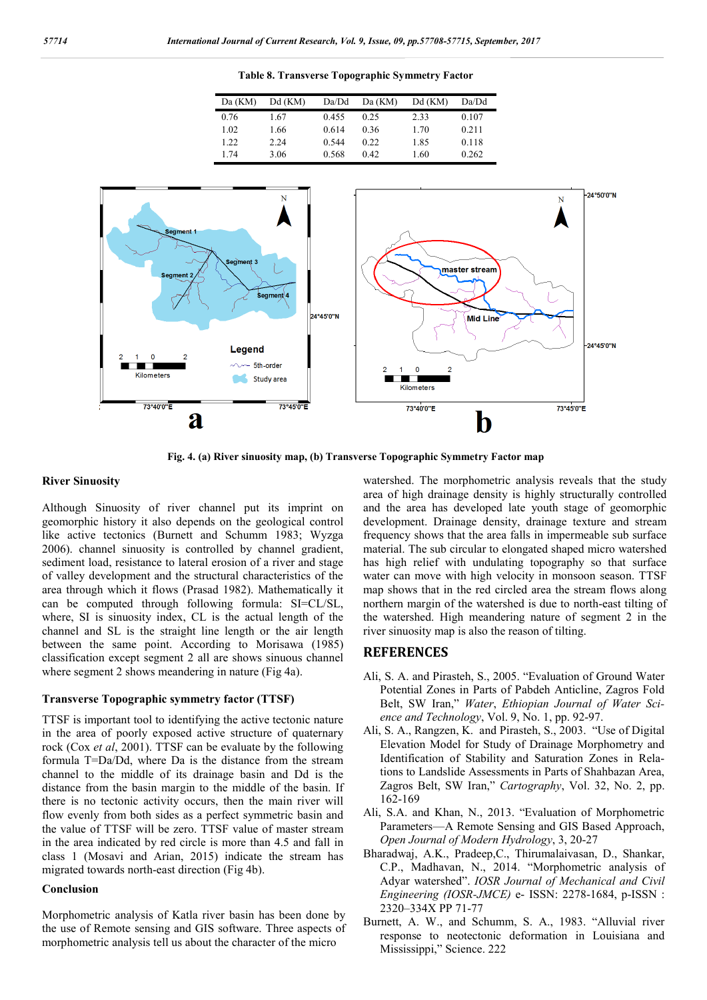**Table 8. Transverse Topographic Symmetry Factor**

| Da (KM) | Dd (KM) | Da/Dd | Da (KM) | Dd (KM) | Da/Dd |
|---------|---------|-------|---------|---------|-------|
| 0.76    | 1.67    | 0.455 | 0.25    | 2.33    | 0.107 |
| 1.02    | 1.66    | 0.614 | 0.36    | 1.70    | 0.211 |
| 1.22    | 2.24    | 0.544 | 0.22    | 1.85    | 0.118 |
| 1.74    | 3.06    | 0.568 | 0.42    | 1.60    | 0.262 |



**Fig. 4. (a) River sinuosity map, (b) Transverse Topographic Symmetry Factor map**

#### **River Sinuosity**

Although Sinuosity of river channel put its imprint on geomorphic history it also depends on the geological control like active tectonics (Burnett and Schumm 1983; Wyzga 2006). channel sinuosity is controlled by channel gradient, sediment load, resistance to lateral erosion of a river and stage of valley development and the structural characteristics of the area through which it flows (Prasad 1982). Mathematically it can be computed through following formula: SI=CL/SL, where, SI is sinuosity index, CL is the actual length of the channel and SL is the straight line length or the air length between the same point. According to Morisawa (1985) classification except segment 2 all are shows sinuous channel where segment 2 shows meandering in nature (Fig 4a).

#### **Transverse Topographic symmetry factor (TTSF)**

TTSF is important tool to identifying the active tectonic nature in the area of poorly exposed active structure of quaternary rock (Cox *et al*, 2001). TTSF can be evaluate by the following formula T=Da/Dd, where Da is the distance from the stream channel to the middle of its drainage basin and Dd is the distance from the basin margin to the middle of the basin. If there is no tectonic activity occurs, then the main river will flow evenly from both sides as a perfect symmetric basin and the value of TTSF will be zero. TTSF value of master stream in the area indicated by red circle is more than 4.5 and fall in class 1 (Mosavi and Arian, 2015) indicate the stream has migrated towards north-east direction (Fig 4b).

#### **Conclusion**

Morphometric analysis of Katla river basin has been done by the use of Remote sensing and GIS software. Three aspects of morphometric analysis tell us about the character of the micro

watershed. The morphometric analysis reveals that the study area of high drainage density is highly structurally controlled and the area has developed late youth stage of geomorphic development. Drainage density, drainage texture and stream frequency shows that the area falls in impermeable sub surface material. The sub circular to elongated shaped micro watershed has high relief with undulating topography so that surface water can move with high velocity in monsoon season. TTSF map shows that in the red circled area the stream flows along northern margin of the watershed is due to north-east tilting of the watershed. High meandering nature of segment 2 in the river sinuosity map is also the reason of tilting.

#### **REFERENCES**

- Ali, S. A. and Pirasteh, S., 2005. "Evaluation of Ground Water Potential Zones in Parts of Pabdeh Anticline, Zagros Fold Belt, SW Iran," *Water*, *Ethiopian Journal of Water Science and Technology*, Vol. 9, No. 1, pp. 92-97.
- Ali, S. A., Rangzen, K. and Pirasteh, S., 2003. "Use of Digital Elevation Model for Study of Drainage Morphometry and Identification of Stability and Saturation Zones in Relations to Landslide Assessments in Parts of Shahbazan Area, Zagros Belt, SW Iran," *Cartography*, Vol. 32, No. 2, pp. 162-169
- Ali, S.A. and Khan, N., 2013. "Evaluation of Morphometric Parameters—A Remote Sensing and GIS Based Approach, *Open Journal of Modern Hydrology*, 3, 20-27
- Bharadwaj, A.K., Pradeep,C., Thirumalaivasan, D., Shankar, C.P., Madhavan, N., 2014. "Morphometric analysis of Adyar watershed". *IOSR Journal of Mechanical and Civil Engineering (IOSR-JMCE)* e- ISSN: 2278-1684, p-ISSN : 2320–334X PP 71-77
- Burnett, A. W., and Schumm, S. A., 1983. "Alluvial river response to neotectonic deformation in Louisiana and Mississippi," Science. 222